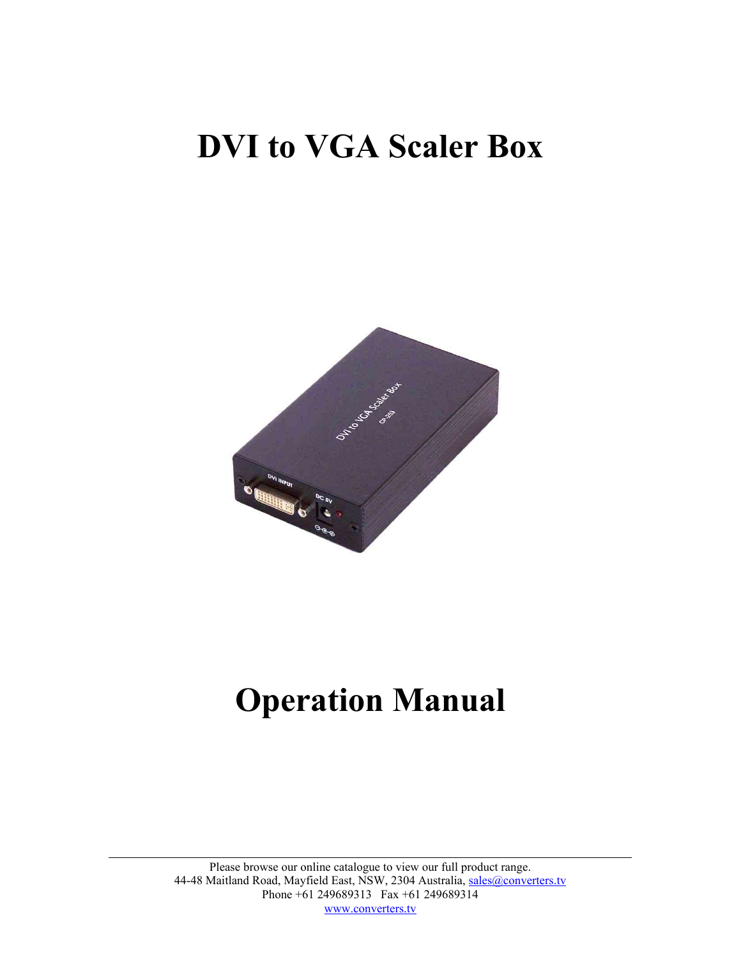## **DVI to VGA Scaler Box**



# **Operation Manual**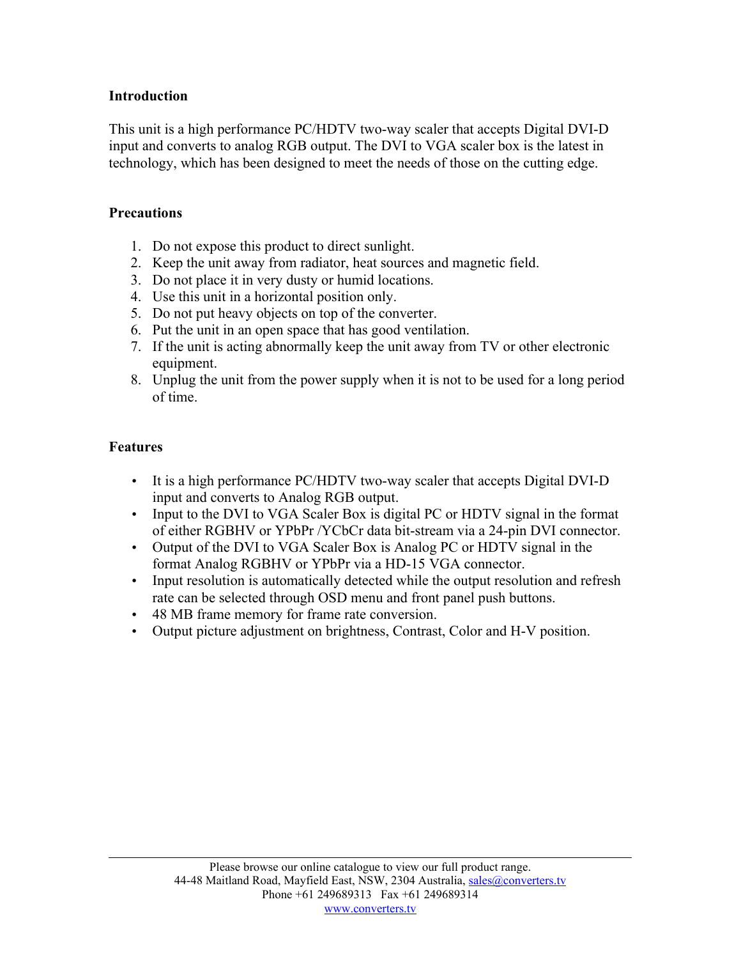## **Introduction**

This unit is a high performance PC/HDTV two-way scaler that accepts Digital DVI-D input and converts to analog RGB output. The DVI to VGA scaler box is the latest in technology, which has been designed to meet the needs of those on the cutting edge.

#### **Precautions**

- 1. Do not expose this product to direct sunlight.
- 2. Keep the unit away from radiator, heat sources and magnetic field.
- 3. Do not place it in very dusty or humid locations.
- 4. Use this unit in a horizontal position only.
- 5. Do not put heavy objects on top of the converter.
- 6. Put the unit in an open space that has good ventilation.
- 7. If the unit is acting abnormally keep the unit away from TV or other electronic equipment.
- 8. Unplug the unit from the power supply when it is not to be used for a long period of time.

## **Features**

- It is a high performance PC/HDTV two-way scaler that accepts Digital DVI-D input and converts to Analog RGB output.
- Input to the DVI to VGA Scaler Box is digital PC or HDTV signal in the format of either RGBHV or YPbPr /YCbCr data bit-stream via a 24-pin DVI connector.
- Output of the DVI to VGA Scaler Box is Analog PC or HDTV signal in the format Analog RGBHV or YPbPr via a HD-15 VGA connector.
- Input resolution is automatically detected while the output resolution and refresh rate can be selected through OSD menu and front panel push buttons.
- 48 MB frame memory for frame rate conversion.
- Output picture adjustment on brightness, Contrast, Color and H-V position.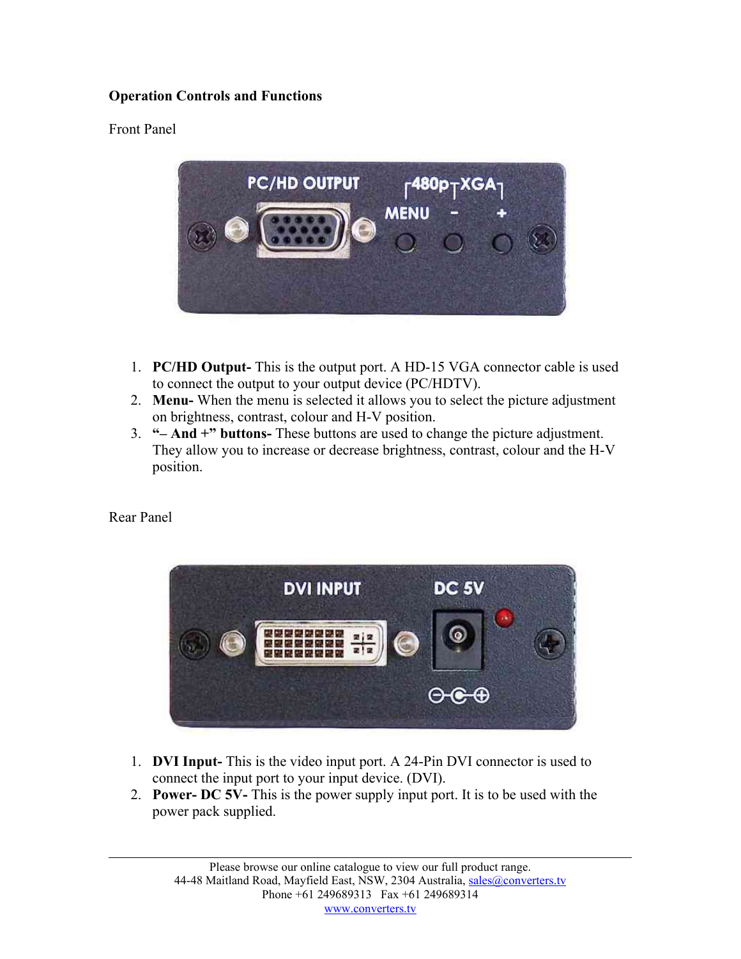## **Operation Controls and Functions**

## Front Panel



- 1. **PC/HD Output-** This is the output port. A HD-15 VGA connector cable is used to connect the output to your output device (PC/HDTV).
- 2. **Menu-** When the menu is selected it allows you to select the picture adjustment on brightness, contrast, colour and H-V position.
- 3. **"– And +" buttons-** These buttons are used to change the picture adjustment. They allow you to increase or decrease brightness, contrast, colour and the H-V position.

Rear Panel



- 1. **DVI Input-** This is the video input port. A 24-Pin DVI connector is used to connect the input port to your input device. (DVI).
- 2. **Power- DC 5V-** This is the power supply input port. It is to be used with the power pack supplied.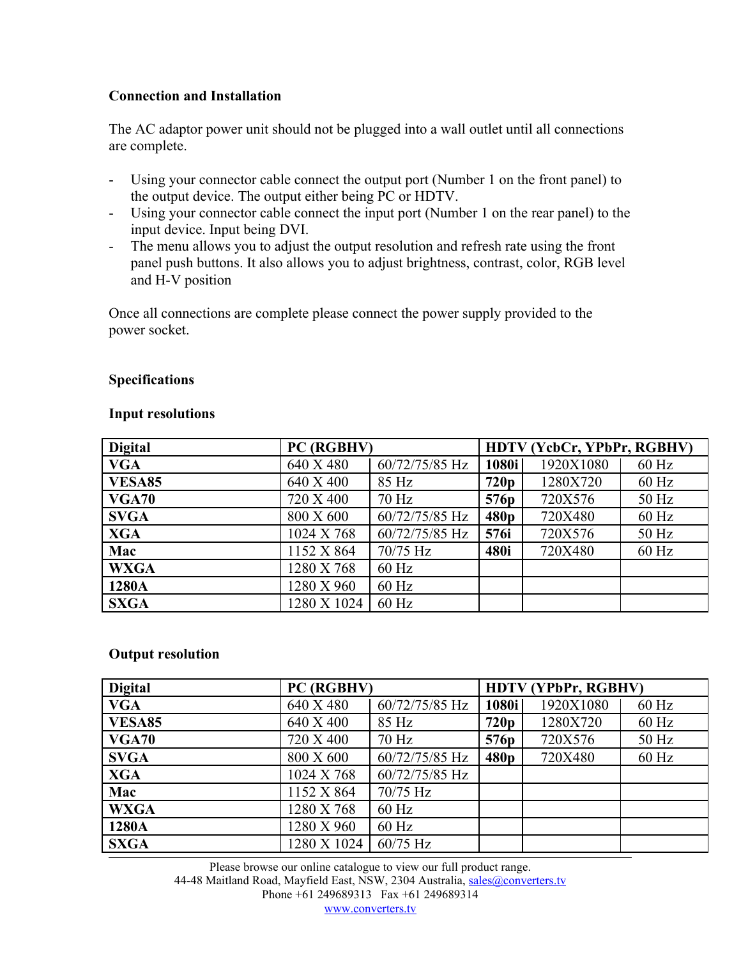## **Connection and Installation**

The AC adaptor power unit should not be plugged into a wall outlet until all connections are complete.

- Using your connector cable connect the output port (Number 1 on the front panel) to the output device. The output either being PC or HDTV.
- Using your connector cable connect the input port (Number 1 on the rear panel) to the input device. Input being DVI.
- The menu allows you to adjust the output resolution and refresh rate using the front panel push buttons. It also allows you to adjust brightness, contrast, color, RGB level and H-V position

Once all connections are complete please connect the power supply provided to the power socket.

## **Specifications**

#### **Input resolutions**

| <b>Digital</b> | PC (RGBHV)  |                | HDTV (YcbCr, YPbPr, RGBHV) |           |         |  |
|----------------|-------------|----------------|----------------------------|-----------|---------|--|
| <b>VGA</b>     | 640 X 480   | 60/72/75/85 Hz | 1080i                      | 1920X1080 | $60$ Hz |  |
| <b>VESA85</b>  | 640 X 400   | 85 Hz          | 720p                       | 1280X720  | $60$ Hz |  |
| <b>VGA70</b>   | 720 X 400   | $70$ Hz        | 576 <sub>p</sub>           | 720X576   | 50 Hz   |  |
| <b>SVGA</b>    | 800 X 600   | 60/72/75/85 Hz | 480p                       | 720X480   | $60$ Hz |  |
| <b>XGA</b>     | 1024 X 768  | 60/72/75/85 Hz | 576i                       | 720X576   | $50$ Hz |  |
| Mac            | 1152 X 864  | $70/75$ Hz     | 480i                       | 720X480   | $60$ Hz |  |
| <b>WXGA</b>    | 1280 X 768  | $60$ Hz        |                            |           |         |  |
| 1280A          | 1280 X 960  | $60$ Hz        |                            |           |         |  |
| <b>SXGA</b>    | 1280 X 1024 | $60$ Hz        |                            |           |         |  |

## **Output resolution**

| <b>Digital</b> | PC (RGBHV)  |                | <b>HDTV (YPbPr, RGBHV)</b> |           |         |
|----------------|-------------|----------------|----------------------------|-----------|---------|
| <b>VGA</b>     | 640 X 480   | 60/72/75/85 Hz | 1080i                      | 1920X1080 | $60$ Hz |
| <b>VESA85</b>  | 640 X 400   | 85 Hz          | 720p                       | 1280X720  | $60$ Hz |
| <b>VGA70</b>   | 720 X 400   | $70$ Hz        | 576 <sub>p</sub>           | 720X576   | 50 Hz   |
| <b>SVGA</b>    | 800 X 600   | 60/72/75/85 Hz | 480p                       | 720X480   | $60$ Hz |
| <b>XGA</b>     | 1024 X 768  | 60/72/75/85 Hz |                            |           |         |
| Mac            | 1152 X 864  | $70/75$ Hz     |                            |           |         |
| <b>WXGA</b>    | 1280 X 768  | $60$ Hz        |                            |           |         |
| 1280A          | 1280 X 960  | $60$ Hz        |                            |           |         |
| <b>SXGA</b>    | 1280 X 1024 | 60/75 Hz       |                            |           |         |

Please browse our online catalogue to view our full product range. 44-48 Maitland Road, Mayfield East, NSW, 2304 Australia, [sales@converters.tv](mailto:sales@converters.tv) Phone +61 249689313 Fax +61 249689314 [www.converters.tv](http://www.converters.tv/)